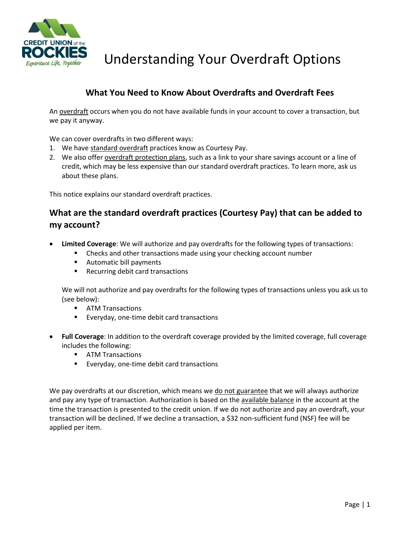

Experience Life, Together Understanding Your Overdraft Options

#### **What You Need to Know About Overdrafts and Overdraft Fees**

An overdraft occurs when you do not have available funds in your account to cover a transaction, but we pay it anyway.

We can cover overdrafts in two different ways:

- 1. We have standard overdraft practices know as Courtesy Pay.
- 2. We also offer overdraft protection plans, such as a link to your share savings account or a line of credit, which may be less expensive than our standard overdraft practices. To learn more, ask us about these plans.

This notice explains our standard overdraft practices.

### **What are the standard overdraft practices (Courtesy Pay) that can be added to my account?**

- **Limited Coverage**: We will authorize and pay overdrafts for the following types of transactions:
	- Checks and other transactions made using your checking account number
	- Automatic bill payments
	- Recurring debit card transactions

We will not authorize and pay overdrafts for the following types of transactions unless you ask us to (see below):

- ATM Transactions
- Everyday, one-time debit card transactions
- **Full Coverage**: In addition to the overdraft coverage provided by the limited coverage, full coverage includes the following:
	- ATM Transactions
	- Everyday, one-time debit card transactions

We pay overdrafts at our discretion, which means we do not guarantee that we will always authorize and pay any type of transaction. Authorization is based on the available balance in the account at the time the transaction is presented to the credit union. If we do not authorize and pay an overdraft, your transaction will be declined. If we decline a transaction, a \$32 non-sufficient fund (NSF) fee will be applied per item.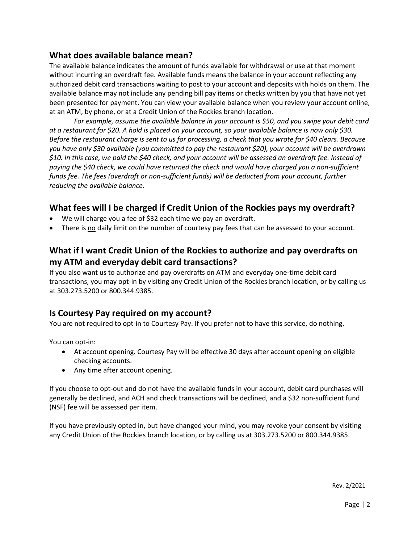#### **What does available balance mean?**

The available balance indicates the amount of funds available for withdrawal or use at that moment without incurring an overdraft fee. Available funds means the balance in your account reflecting any authorized debit card transactions waiting to post to your account and deposits with holds on them. The available balance may not include any pending bill pay items or checks written by you that have not yet been presented for payment. You can view your available balance when you review your account online, at an ATM, by phone, or at a Credit Union of the Rockies branch location.

*For example, assume the available balance in your account is \$50, and you swipe your debit card at a restaurant for \$20. A hold is placed on your account, so your available balance is now only \$30. Before the restaurant charge is sent to us for processing, a check that you wrote for \$40 clears. Because you have only \$30 available (you committed to pay the restaurant \$20), your account will be overdrawn \$10. In this case, we paid the \$40 check, and your account will be assessed an overdraft fee. Instead of paying the \$40 check, we could have returned the check and would have charged you a non-sufficient funds fee. The fees (overdraft or non-sufficient funds) will be deducted from your account, further reducing the available balance.*

### **What fees will I be charged if Credit Union of the Rockies pays my overdraft?**

- We will charge you a fee of \$32 each time we pay an overdraft.
- There is no daily limit on the number of courtesy pay fees that can be assessed to your account.

## **What if I want Credit Union of the Rockies to authorize and pay overdrafts on my ATM and everyday debit card transactions?**

If you also want us to authorize and pay overdrafts on ATM and everyday one-time debit card transactions, you may opt-in by visiting any Credit Union of the Rockies branch location, or by calling us at 303.273.5200 or 800.344.9385.

#### **Is Courtesy Pay required on my account?**

You are not required to opt-in to Courtesy Pay. If you prefer not to have this service, do nothing.

You can opt-in:

- At account opening. Courtesy Pay will be effective 30 days after account opening on eligible checking accounts.
- Any time after account opening.

If you choose to opt-out and do not have the available funds in your account, debit card purchases will generally be declined, and ACH and check transactions will be declined, and a \$32 non-sufficient fund (NSF) fee will be assessed per item.

If you have previously opted in, but have changed your mind, you may revoke your consent by visiting any Credit Union of the Rockies branch location, or by calling us at 303.273.5200 or 800.344.9385.